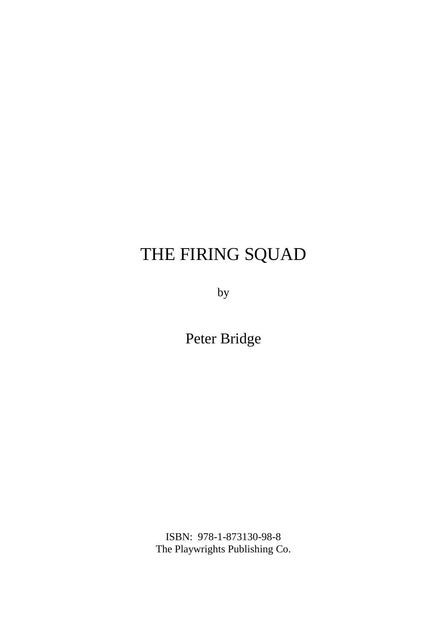## THE FIRING SQUAD

by

Peter Bridge

ISBN: 978-1-873130-98-8 The Playwrights Publishing Co.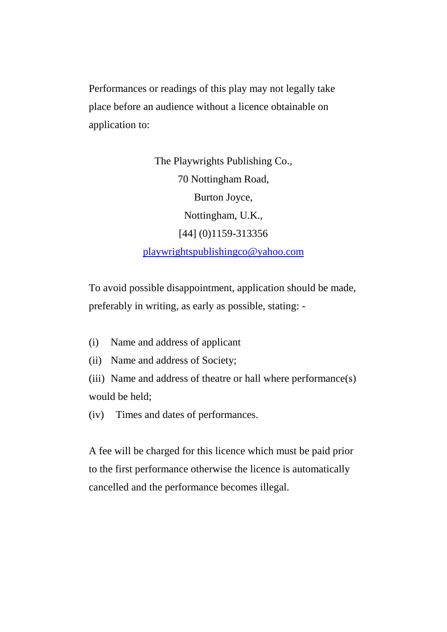Performances or readings of this play may not legally take place before an audience without a licence obtainable on application to:

> The Playwrights Publishing Co., 70 Nottingham Road, Burton Joyce, Nottingham, U.K., [44] (0)1159-313356 playwrightspublishingco@yahoo.com

To avoid possible disappointment, application should be made, preferably in writing, as early as possible, stating: -

- (i) Name and address of applicant
- (ii) Name and address of Society;

(iii) Name and address of theatre or hall where performance(s) would be held;

(iv) Times and dates of performances.

A fee will be charged for this licence which must be paid prior to the first performance otherwise the licence is automatically cancelled and the performance becomes illegal.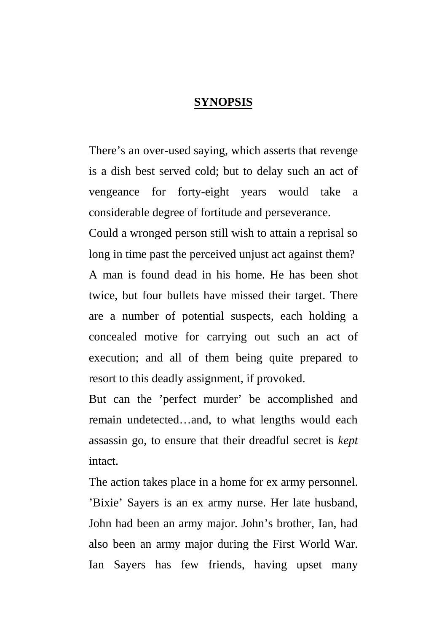## **SYNOPSIS**

There's an over-used saying, which asserts that revenge is a dish best served cold; but to delay such an act of vengeance for forty-eight years would take a considerable degree of fortitude and perseverance.

Could a wronged person still wish to attain a reprisal so long in time past the perceived unjust act against them? A man is found dead in his home. He has been shot twice, but four bullets have missed their target. There are a number of potential suspects, each holding a concealed motive for carrying out such an act of execution; and all of them being quite prepared to resort to this deadly assignment, if provoked.

But can the 'perfect murder' be accomplished and remain undetected…and, to what lengths would each assassin go, to ensure that their dreadful secret is *kept* intact.

The action takes place in a home for ex army personnel. 'Bixie' Sayers is an ex army nurse. Her late husband, John had been an army major. John's brother, Ian, had also been an army major during the First World War. Ian Sayers has few friends, having upset many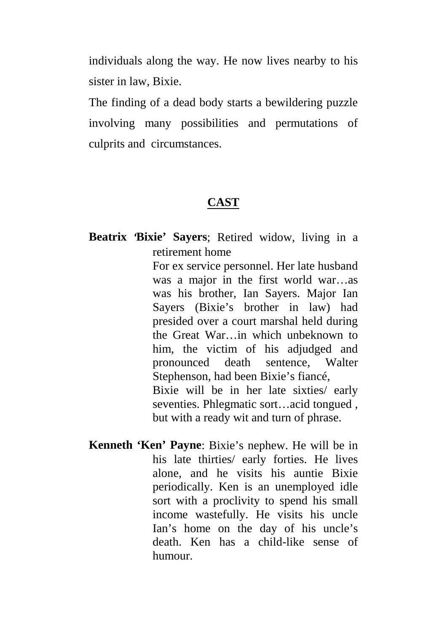individuals along the way. He now lives nearby to his sister in law, Bixie.

The finding of a dead body starts a bewildering puzzle involving many possibilities and permutations of culprits and circumstances.

## **CAST**

**Beatrix 'Bixie' Sayers**; Retired widow, living in a retirement home

> For ex service personnel. Her late husband was a major in the first world war…as was his brother, Ian Sayers. Major Ian Sayers (Bixie's brother in law) had presided over a court marshal held during the Great War…in which unbeknown to him, the victim of his adjudged and pronounced death sentence, Walter Stephenson, had been Bixie's fiancé, Bixie will be in her late sixties/ early seventies. Phlegmatic sort…acid tongued , but with a ready wit and turn of phrase.

**Kenneth 'Ken' Payne**: Bixie's nephew. He will be in his late thirties/ early forties. He lives alone, and he visits his auntie Bixie periodically. Ken is an unemployed idle sort with a proclivity to spend his small income wastefully. He visits his uncle Ian's home on the day of his uncle's death. Ken has a child-like sense of humour.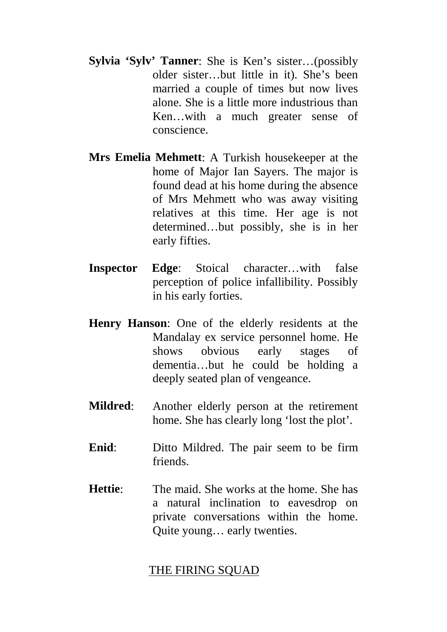- **Sylvia 'Sylv' Tanner**: She is Ken's sister…(possibly older sister…but little in it). She's been married a couple of times but now lives alone. She is a little more industrious than Ken…with a much greater sense of conscience.
- **Mrs Emelia Mehmett**: A Turkish housekeeper at the home of Major Ian Sayers. The major is found dead at his home during the absence of Mrs Mehmett who was away visiting relatives at this time. Her age is not determined…but possibly, she is in her early fifties.
- **Inspector Edge**: Stoical character…with false perception of police infallibility. Possibly in his early forties.
- **Henry Hanson**: One of the elderly residents at the Mandalay ex service personnel home. He shows obvious early stages of dementia…but he could be holding a deeply seated plan of vengeance.
- **Mildred**: Another elderly person at the retirement home. She has clearly long 'lost the plot'.
- **Enid**: Ditto Mildred. The pair seem to be firm friends.
- **Hettie**: The maid. She works at the home. She has a natural inclination to eavesdrop on private conversations within the home. Quite young… early twenties.

## THE FIRING SQUAD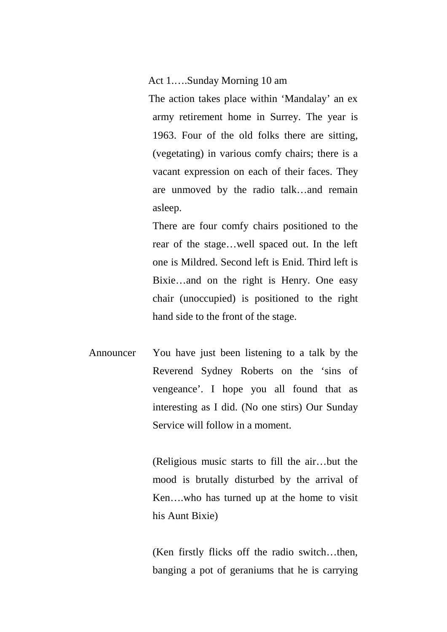Act 1.….Sunday Morning 10 am

The action takes place within 'Mandalay' an ex army retirement home in Surrey. The year is 1963. Four of the old folks there are sitting, (vegetating) in various comfy chairs; there is a vacant expression on each of their faces. They are unmoved by the radio talk…and remain asleep.

There are four comfy chairs positioned to the rear of the stage…well spaced out. In the left one is Mildred. Second left is Enid. Third left is Bixie…and on the right is Henry. One easy chair (unoccupied) is positioned to the right hand side to the front of the stage.

Announcer You have just been listening to a talk by the Reverend Sydney Roberts on the 'sins of vengeance'. I hope you all found that as interesting as I did. (No one stirs) Our Sunday Service will follow in a moment.

> (Religious music starts to fill the air…but the mood is brutally disturbed by the arrival of Ken….who has turned up at the home to visit his Aunt Bixie)

> (Ken firstly flicks off the radio switch…then, banging a pot of geraniums that he is carrying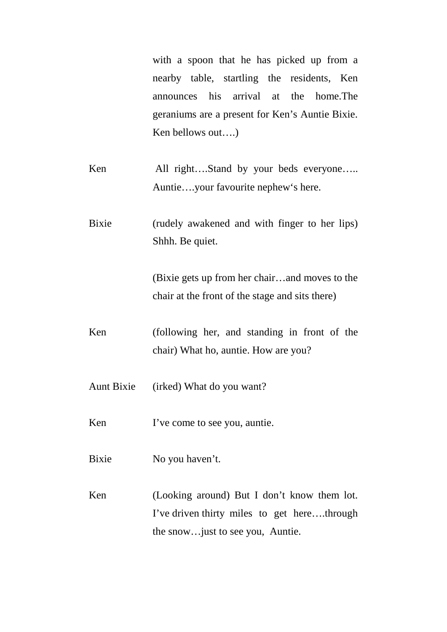with a spoon that he has picked up from a nearby table, startling the residents, Ken announces his arrival at the home.The geraniums are a present for Ken's Auntie Bixie. Ken bellows out….)

- Ken All right….Stand by your beds everyone….. Auntie….your favourite nephew's here.
- Bixie (rudely awakened and with finger to her lips) Shhh. Be quiet.

(Bixie gets up from her chair…and moves to the chair at the front of the stage and sits there)

- Ken (following her, and standing in front of the chair) What ho, auntie. How are you?
- Aunt Bixie (irked) What do you want?
- Ken I've come to see you, auntie.
- Bixie No you haven't.
- Ken (Looking around) But I don't know them lot. I've driven thirty miles to get here….through the snow…just to see you, Auntie.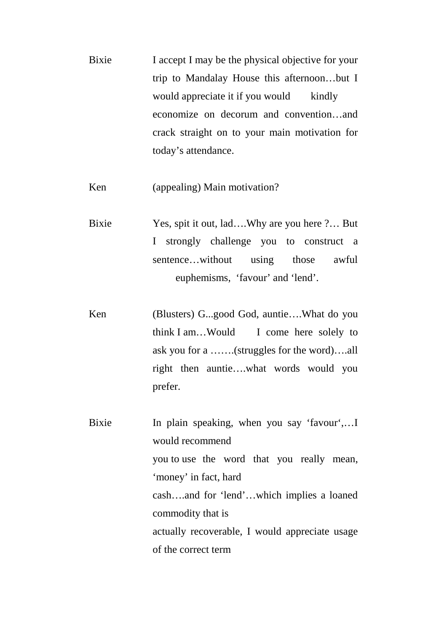Bixie I accept I may be the physical objective for your trip to Mandalay House this afternoon…but I would appreciate it if you would kindly economize on decorum and convention…and crack straight on to your main motivation for today's attendance.

Ken (appealing) Main motivation?

- Bixie Yes, spit it out, lad….Why are you here ?… But I strongly challenge you to construct a sentence…without using those awful euphemisms, 'favour' and 'lend'.
- Ken (Blusters) G...good God, auntie….What do you think I am…Would I come here solely to ask you for a …….(struggles for the word)….all right then auntie….what words would you prefer.

Bixie In plain speaking, when you say 'favour',... would recommend you to use the word that you really mean, 'money' in fact, hard cash….and for 'lend'…which implies a loaned commodity that is actually recoverable, I would appreciate usage of the correct term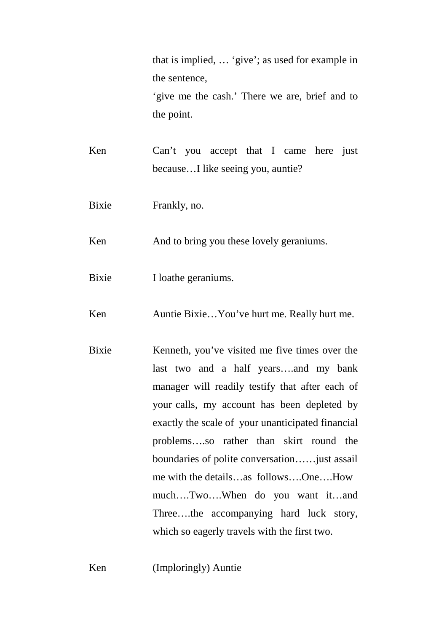that is implied, … 'give'; as used for example in the sentence, 'give me the cash.' There we are, brief and to

the point.

- Ken Can't you accept that I came here just because…I like seeing you, auntie?
- Bixie Frankly, no.

Ken And to bring you these lovely geraniums.

Bixie I loathe geraniums.

Ken Auntie Bixie...You've hurt me. Really hurt me.

Bixie Kenneth, you've visited me five times over the last two and a half years….and my bank manager will readily testify that after each of your calls, my account has been depleted by exactly the scale of your unanticipated financial problems….so rather than skirt round the boundaries of polite conversation……just assail me with the details…as follows….One….How much….Two….When do you want it…and Three….the accompanying hard luck story, which so eagerly travels with the first two.

Ken (Imploringly) Auntie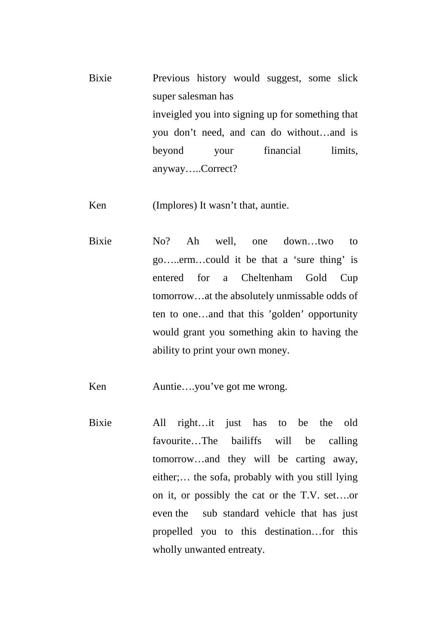Bixie Previous history would suggest, some slick super salesman has inveigled you into signing up for something that you don't need, and can do without…and is beyond your financial limits, anyway…..Correct?

Ken (Implores) It wasn't that, auntie.

Bixie No? Ah well, one down…two to go…..erm…could it be that a 'sure thing' is entered for a Cheltenham Gold Cup tomorrow…at the absolutely unmissable odds of ten to one…and that this 'golden' opportunity would grant you something akin to having the ability to print your own money.

Ken Auntie....you've got me wrong.

Bixie All right…it just has to be the old favourite…The bailiffs will be calling tomorrow…and they will be carting away, either;… the sofa, probably with you still lying on it, or possibly the cat or the T.V. set….or even the sub standard vehicle that has just propelled you to this destination…for this wholly unwanted entreaty.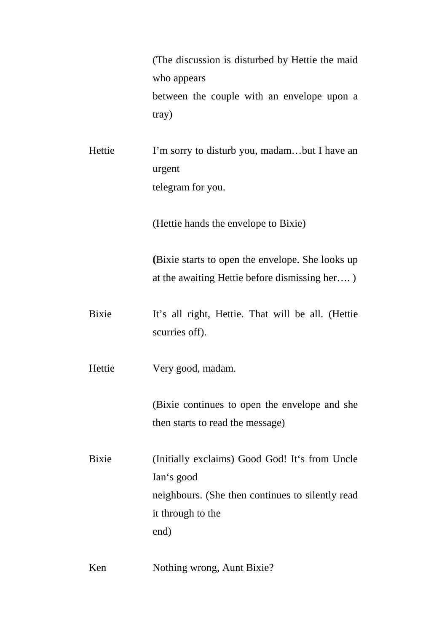(The discussion is disturbed by Hettie the maid who appears between the couple with an envelope upon a tray)

Hettie I'm sorry to disturb you, madam…but I have an urgent telegram for you.

(Hettie hands the envelope to Bixie)

**(**Bixie starts to open the envelope. She looks up at the awaiting Hettie before dismissing her…. )

Bixie It's all right, Hettie. That will be all. (Hettie scurries off).

Hettie Very good, madam.

(Bixie continues to open the envelope and she then starts to read the message)

Bixie (Initially exclaims) Good God! It's from Uncle Ian's good neighbours. (She then continues to silently read it through to the end)

Ken Nothing wrong, Aunt Bixie?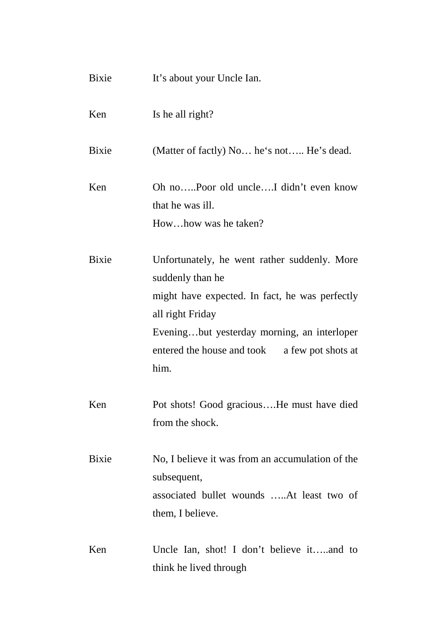| Bixie        | It's about your Uncle Ian.                                                                                                                                                                                                                     |  |
|--------------|------------------------------------------------------------------------------------------------------------------------------------------------------------------------------------------------------------------------------------------------|--|
| Ken          | Is he all right?                                                                                                                                                                                                                               |  |
| <b>Bixie</b> | (Matter of factly) No he's not He's dead.                                                                                                                                                                                                      |  |
| Ken          | Oh noPoor old uncleI didn't even know<br>that he was ill.<br>Howhow was he taken?                                                                                                                                                              |  |
| <b>Bixie</b> | Unfortunately, he went rather suddenly. More<br>suddenly than he<br>might have expected. In fact, he was perfectly<br>all right Friday<br>Eveningbut yesterday morning, an interloper<br>entered the house and took a few pot shots at<br>him. |  |
| Ken          | Pot shots! Good graciousHe must have died<br>from the shock.                                                                                                                                                                                   |  |
| <b>Bixie</b> | No, I believe it was from an accumulation of the<br>subsequent,<br>associated bullet wounds At least two of<br>them, I believe.                                                                                                                |  |
| Ken          | Uncle Ian, shot! I don't believe itand to<br>think he lived through                                                                                                                                                                            |  |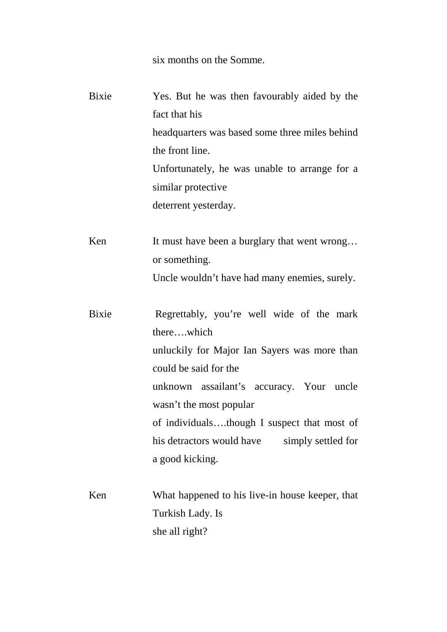six months on the Somme.

Bixie Yes. But he was then favourably aided by the fact that his headquarters was based some three miles behind the front line. Unfortunately, he was unable to arrange for a similar protective deterrent yesterday.

Ken It must have been a burglary that went wrong... or something.

Uncle wouldn't have had many enemies, surely.

Bixie Regrettably, you're well wide of the mark there….which unluckily for Major Ian Sayers was more than could be said for the unknown assailant's accuracy. Your uncle wasn't the most popular of individuals….though I suspect that most of his detractors would have simply settled for a good kicking.

Ken What happened to his live-in house keeper, that Turkish Lady. Is she all right?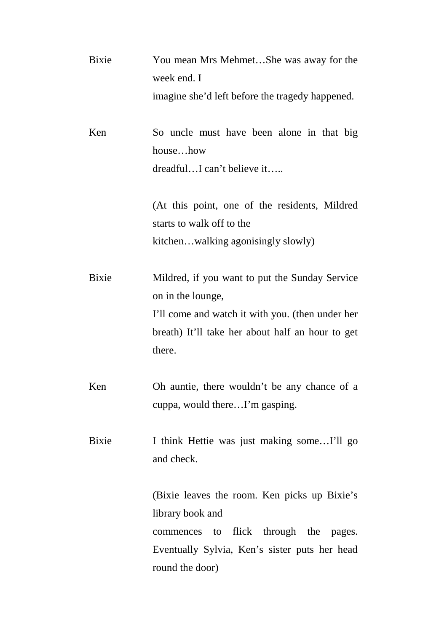| Bixie | You mean Mrs MehmetShe was away for the          |
|-------|--------------------------------------------------|
|       | week end. I                                      |
|       | imagine she'd left before the tragedy happened.  |
| Ken   | So uncle must have been alone in that big        |
|       | househow                                         |
|       | dreadfulI can't believe it                       |
|       | (At this point, one of the residents, Mildred    |
|       | starts to walk off to the                        |
|       | kitchenwalking agonisingly slowly)               |
| Bixie | Mildred, if you want to put the Sunday Service   |
|       | on in the lounge,                                |
|       | I'll come and watch it with you. (then under her |
|       | breath) It'll take her about half an hour to get |
|       | there.                                           |
| Ken   | Oh auntie, there wouldn't be any chance of a     |
|       | cuppa, would thereI'm gasping.                   |
| Bixie | I think Hettie was just making someI'll go       |
|       | and check.                                       |
|       | (Bixie leaves the room. Ken picks up Bixie's     |
|       | library book and                                 |
|       | flick through the pages.<br>commences to         |
|       | Eventually Sylvia, Ken's sister puts her head    |
|       | round the door)                                  |
|       |                                                  |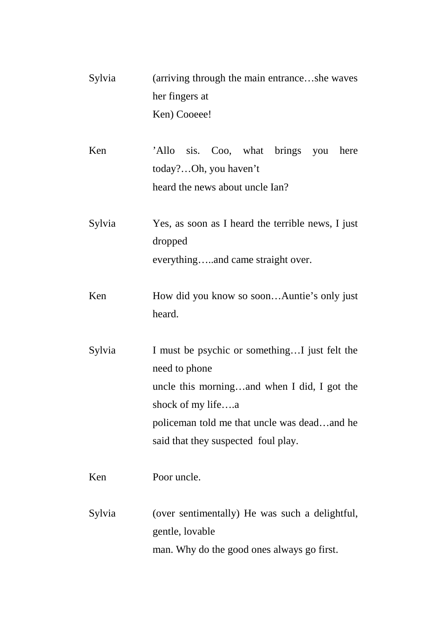| Sylvia | (arriving through the main entranceshe waves<br>her fingers at                                                                                                                                                           |
|--------|--------------------------------------------------------------------------------------------------------------------------------------------------------------------------------------------------------------------------|
|        | Ken) Cooeee!                                                                                                                                                                                                             |
| Ken    | 'Allo sis. Coo, what brings you<br>here<br>today?Oh, you haven't<br>heard the news about uncle Ian?                                                                                                                      |
| Sylvia | Yes, as soon as I heard the terrible news, I just<br>dropped<br>everythingand came straight over.                                                                                                                        |
| Ken    | How did you know so soonAuntie's only just<br>heard.                                                                                                                                                                     |
| Sylvia | I must be psychic or somethingI just felt the<br>need to phone<br>uncle this morningand when I did, I got the<br>shock of my lifea<br>policeman told me that uncle was deadand he<br>said that they suspected foul play. |
| Ken    | Poor uncle.                                                                                                                                                                                                              |
| Sylvia | (over sentimentally) He was such a delightful,<br>gentle, lovable<br>man. Why do the good ones always go first.                                                                                                          |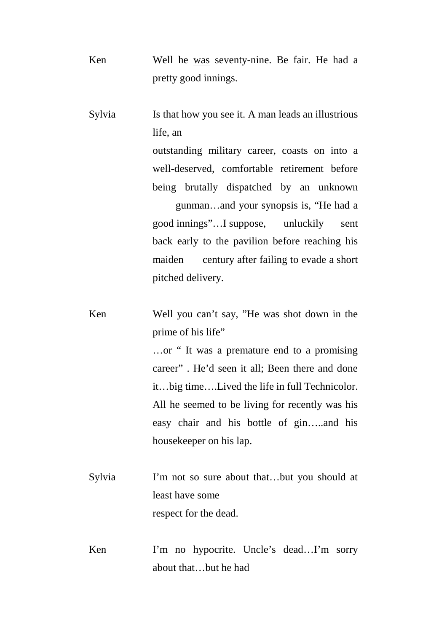Ken Well he was seventy-nine. Be fair. He had a pretty good innings.

Sylvia Is that how you see it. A man leads an illustrious life, an

> outstanding military career, coasts on into a well-deserved, comfortable retirement before being brutally dispatched by an unknown

> gunman…and your synopsis is, "He had a good innings"…I suppose, unluckily sent back early to the pavilion before reaching his maiden century after failing to evade a short pitched delivery.

Ken Well you can't say, "He was shot down in the prime of his life"

> …or " It was a premature end to a promising career" . He'd seen it all; Been there and done it…big time….Lived the life in full Technicolor. All he seemed to be living for recently was his easy chair and his bottle of gin…..and his housekeeper on his lap.

- Sylvia I'm not so sure about that...but you should at least have some respect for the dead.
- Ken I'm no hypocrite. Uncle's dead...I'm sorry about that…but he had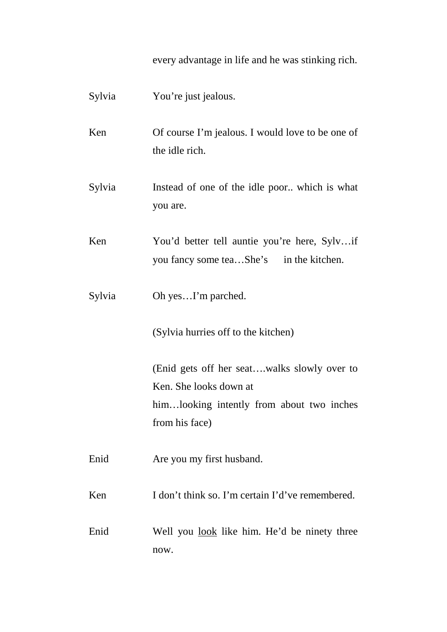every advantage in life and he was stinking rich.

| Sylvia | You're just jealous.                                                                                                                 |
|--------|--------------------------------------------------------------------------------------------------------------------------------------|
| Ken    | Of course I'm jealous. I would love to be one of<br>the idle rich.                                                                   |
| Sylvia | Instead of one of the idle poor which is what<br>you are.                                                                            |
| Ken    | You'd better tell auntie you're here, Sylvif<br>you fancy some teaShe's in the kitchen.                                              |
| Sylvia | Oh yesI'm parched.                                                                                                                   |
|        | (Sylvia hurries off to the kitchen)                                                                                                  |
|        | (Enid gets off her seatwalks slowly over to<br>Ken. She looks down at<br>himlooking intently from about two inches<br>from his face) |
| Enid   | Are you my first husband.                                                                                                            |
| Ken    | I don't think so. I'm certain I'd've remembered.                                                                                     |
| Enid   | Well you look like him. He'd be ninety three<br>now.                                                                                 |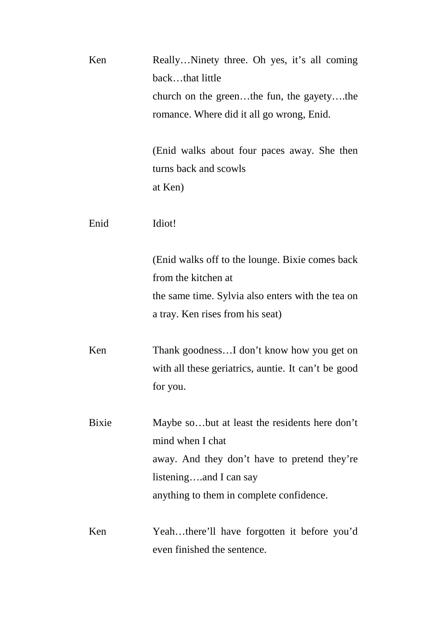| Ken   | ReallyNinety three. Oh yes, it's all coming         |
|-------|-----------------------------------------------------|
|       | backthat little                                     |
|       | church on the greenthe fun, the gayetythe           |
|       | romance. Where did it all go wrong, Enid.           |
|       |                                                     |
|       | (Enid walks about four paces away. She then         |
|       | turns back and scowls                               |
|       | at Ken)                                             |
| Enid  | Idiot!                                              |
|       |                                                     |
|       | (Enid walks off to the lounge. Bixie comes back)    |
|       | from the kitchen at                                 |
|       | the same time. Sylvia also enters with the tea on   |
|       | a tray. Ken rises from his seat)                    |
| Ken   | Thank goodnessI don't know how you get on           |
|       | with all these geriatrics, auntie. It can't be good |
|       | for you.                                            |
|       |                                                     |
| Bixie | Maybe sobut at least the residents here don't       |
|       | mind when I chat                                    |
|       | away. And they don't have to pretend they're        |
|       | listeningand I can say                              |
|       | anything to them in complete confidence.            |
| Ken   | Yeahthere'll have forgotten it before you'd         |
|       | even finished the sentence.                         |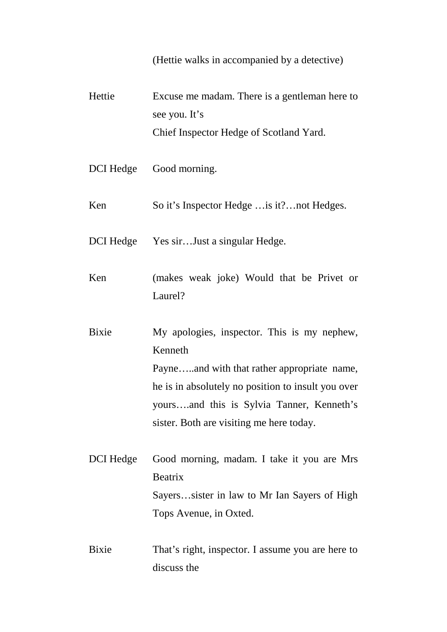(Hettie walks in accompanied by a detective)

Hettie Excuse me madam. There is a gentleman here to see you. It's Chief Inspector Hedge of Scotland Yard. DCI Hedge Good morning. Ken So it's Inspector Hedge …is it?…not Hedges. DCI Hedge Yes sir...Just a singular Hedge. Ken (makes weak joke) Would that be Privet or Laurel? Bixie My apologies, inspector. This is my nephew, Kenneth Payne…..and with that rather appropriate name, he is in absolutely no position to insult you over yours….and this is Sylvia Tanner, Kenneth's sister. Both are visiting me here today. DCI Hedge Good morning, madam. I take it you are Mrs Beatrix Sayers…sister in law to Mr Ian Sayers of High Tops Avenue, in Oxted. Bixie That's right, inspector. I assume you are here to discuss the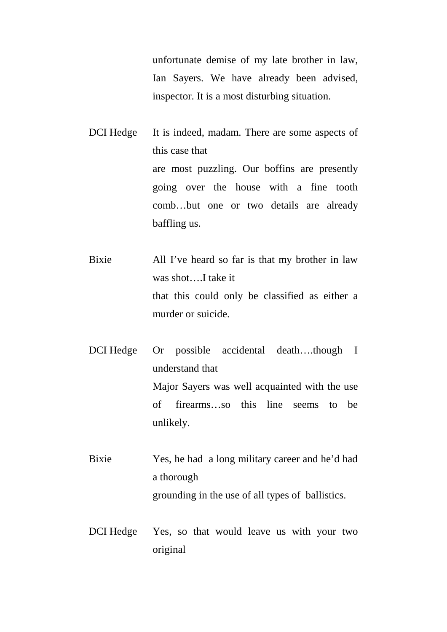unfortunate demise of my late brother in law, Ian Sayers. We have already been advised, inspector. It is a most disturbing situation.

DCI Hedge It is indeed, madam. There are some aspects of this case that are most puzzling. Our boffins are presently going over the house with a fine tooth comb…but one or two details are already baffling us.

Bixie All I've heard so far is that my brother in law was shot….I take it that this could only be classified as either a murder or suicide.

DCI Hedge Or possible accidental death….though I understand that Major Sayers was well acquainted with the use of firearms…so this line seems to be unlikely.

Bixie Yes, he had a long military career and he'd had a thorough grounding in the use of all types of ballistics.

DCI Hedge Yes, so that would leave us with your two original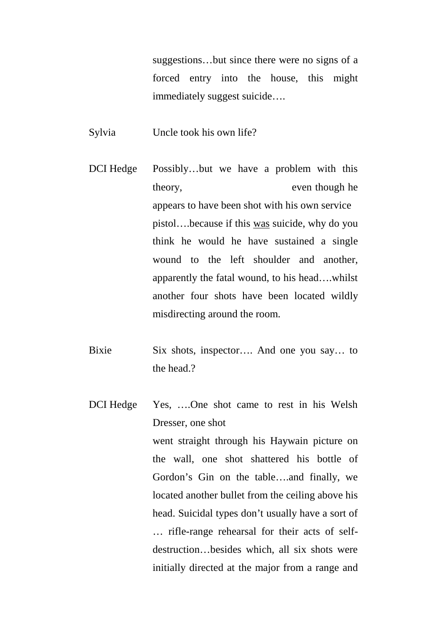suggestions…but since there were no signs of a forced entry into the house, this might immediately suggest suicide….

Sylvia Uncle took his own life?

- DCI Hedge Possibly…but we have a problem with this theory, even though he appears to have been shot with his own service pistol….because if this was suicide, why do you think he would he have sustained a single wound to the left shoulder and another, apparently the fatal wound, to his head….whilst another four shots have been located wildly misdirecting around the room.
- Bixie Six shots, inspector…. And one you say… to the head?
- DCI Hedge Yes, ....One shot came to rest in his Welsh Dresser, one shot went straight through his Haywain picture on the wall, one shot shattered his bottle of Gordon's Gin on the table….and finally, we located another bullet from the ceiling above his head. Suicidal types don't usually have a sort of … rifle-range rehearsal for their acts of self destruction…besides which, all six shots were initially directed at the major from a range and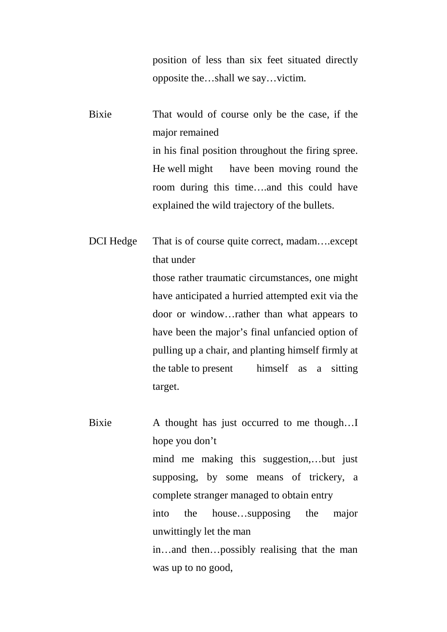position of less than six feet situated directly opposite the…shall we say…victim.

Bixie That would of course only be the case, if the major remained in his final position throughout the firing spree. He well might have been moving round the room during this time….and this could have explained the wild trajectory of the bullets.

DCI Hedge That is of course quite correct, madam….except that under those rather traumatic circumstances, one might have anticipated a hurried attempted exit via the door or window…rather than what appears to have been the major's final unfancied option of pulling up a chair, and planting himself firmly at the table to present himself as a sitting target.

Bixie A thought has just occurred to me though...I hope you don't mind me making this suggestion,…but just supposing, by some means of trickery, a complete stranger managed to obtain entry into the house…supposing the major unwittingly let the man in…and then…possibly realising that the man was up to no good,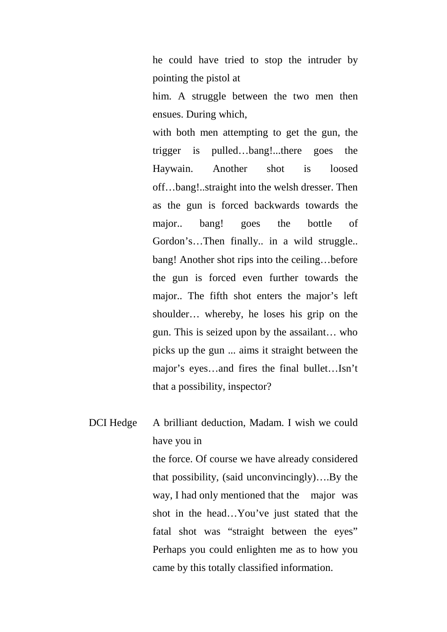he could have tried to stop the intruder by pointing the pistol at

him. A struggle between the two men then ensues. During which,

with both men attempting to get the gun, the trigger is pulled…bang!...there goes the Haywain. Another shot is loosed off…bang!..straight into the welsh dresser. Then as the gun is forced backwards towards the major.. bang! goes the bottle of Gordon's…Then finally.. in a wild struggle.. bang! Another shot rips into the ceiling…before the gun is forced even further towards the major.. The fifth shot enters the major's left shoulder… whereby, he loses his grip on the gun. This is seized upon by the assailant… who picks up the gun ... aims it straight between the major's eyes…and fires the final bullet…Isn't that a possibility, inspector?

DCI Hedge A brilliant deduction, Madam. I wish we could have you in

> the force. Of course we have already considered that possibility, (said unconvincingly)….By the way, I had only mentioned that the major was shot in the head…You've just stated that the fatal shot was "straight between the eyes" Perhaps you could enlighten me as to how you came by this totally classified information.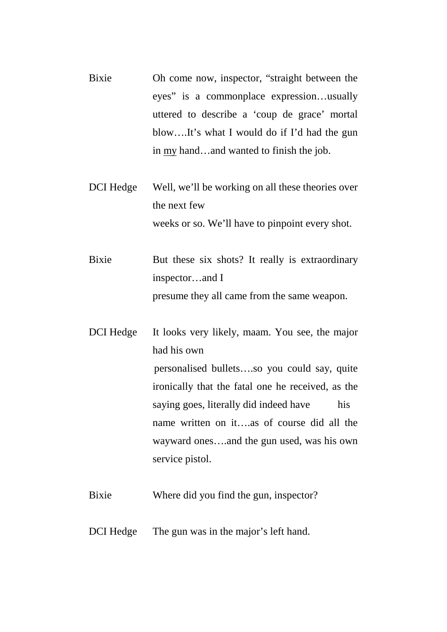- Bixie Oh come now, inspector, "straight between the eyes" is a commonplace expression…usually uttered to describe a 'coup de grace' mortal blow….It's what I would do if I'd had the gun in my hand…and wanted to finish the job.
- DCI Hedge Well, we'll be working on all these theories over the next few weeks or so. We'll have to pinpoint every shot.
- Bixie But these six shots? It really is extraordinary inspector…and I presume they all came from the same weapon.

DCI Hedge It looks very likely, maam. You see, the major had his own personalised bullets….so you could say, quite ironically that the fatal one he received, as the saying goes, literally did indeed have his name written on it….as of course did all the wayward ones….and the gun used, was his own service pistol.

- Bixie Where did you find the gun, inspector?
- DCI Hedge The gun was in the major's left hand.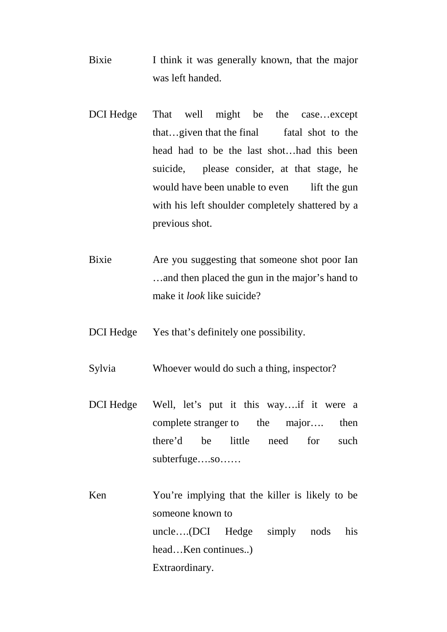- Bixie I think it was generally known, that the major was left handed.
- DCI Hedge That well might be the case…except that...given that the final fatal shot to the head had to be the last shot…had this been suicide, please consider, at that stage, he would have been unable to even lift the gun with his left shoulder completely shattered by a previous shot.
- Bixie Are you suggesting that someone shot poor Ian …and then placed the gun in the major's hand to make it *look* like suicide?
- DCI Hedge Yes that's definitely one possibility.
- Sylvia Whoever would do such a thing, inspector?
- DCI Hedge Well, let's put it this way….if it were a complete stranger to the major…. then there'd be little need for such subterfuge….so……
- Ken You're implying that the killer is likely to be someone known to uncle….(DCI Hedge simply nods his head…Ken continues..) Extraordinary.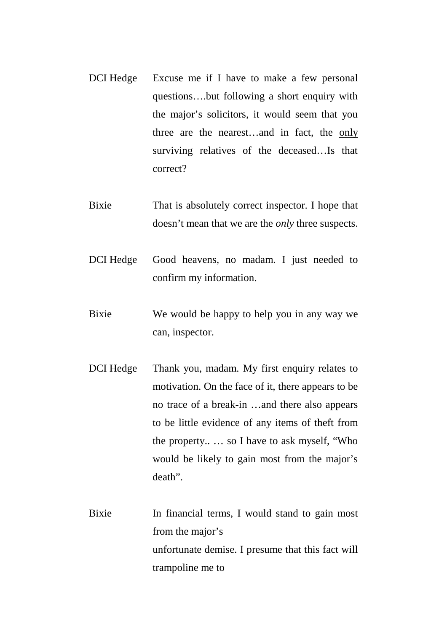- DCI Hedge Excuse me if I have to make a few personal questions….but following a short enquiry with the major's solicitors, it would seem that you three are the nearest…and in fact, the only surviving relatives of the deceased…Is that correct?
- Bixie That is absolutely correct inspector. I hope that doesn't mean that we are the *only* three suspects.
- DCI Hedge Good heavens, no madam. I just needed to confirm my information.
- Bixie We would be happy to help you in any way we can, inspector.
- DCI Hedge Thank you, madam. My first enquiry relates to motivation. On the face of it, there appears to be no trace of a break-in …and there also appears to be little evidence of any items of theft from the property.. … so I have to ask myself, "Who would be likely to gain most from the major's death".
- Bixie In financial terms, I would stand to gain most from the major's unfortunate demise. I presume that this fact will trampoline me to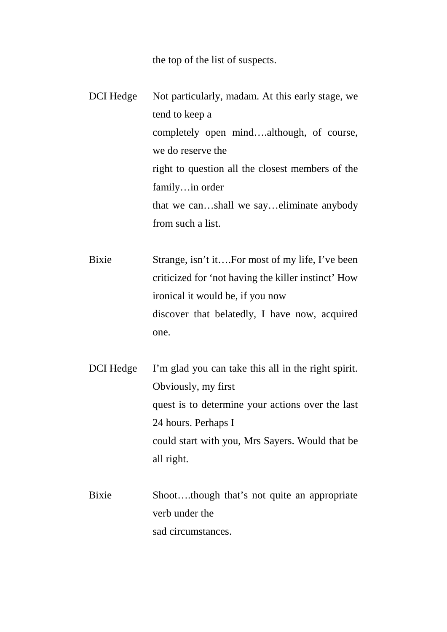the top of the list of suspects.

DCI Hedge Not particularly, madam. At this early stage, we tend to keep a completely open mind….although, of course, we do reserve the right to question all the closest members of the family…in order that we can…shall we say…eliminate anybody from such a list.

Bixie Strange, isn't it....For most of my life, I've been criticized for 'not having the killer instinct' How ironical it would be, if you now discover that belatedly, I have now, acquired one.

DCI Hedge I'm glad you can take this all in the right spirit. Obviously, my first quest is to determine your actions over the last 24 hours. Perhaps I could start with you, Mrs Sayers. Would that be all right.

Bixie Shoot….though that's not quite an appropriate verb under the sad circumstances.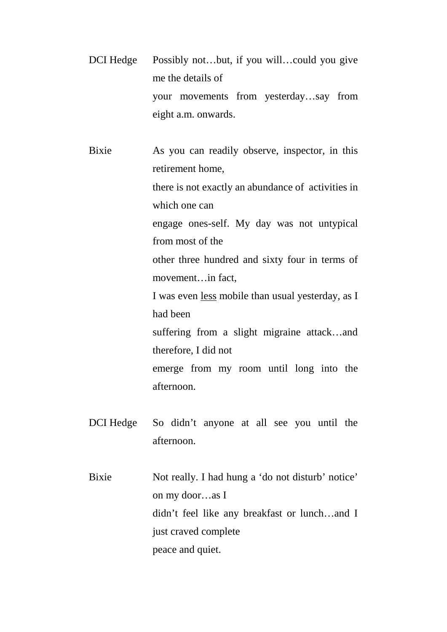DCI Hedge Possibly not...but, if you will...could you give me the details of your movements from yesterday…say from eight a.m. onwards.

Bixie As you can readily observe, inspector, in this retirement home, there is not exactly an abundance of activities in which one can engage ones-self. My day was not untypical from most of the other three hundred and sixty four in terms of movement…in fact, I was even less mobile than usual yesterday, as I had been suffering from a slight migraine attack…and therefore, I did not emerge from my room until long into the afternoon.

- DCI Hedge So didn't anyone at all see you until the afternoon.
- Bixie Not really. I had hung a 'do not disturb' notice' on my door…as I didn't feel like any breakfast or lunch…and I just craved complete peace and quiet.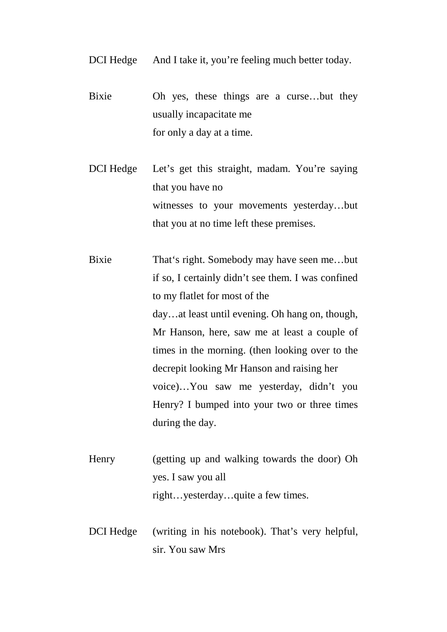- DCI Hedge And I take it, you're feeling much better today.
- Bixie Oh yes, these things are a curse…but they usually incapacitate me for only a day at a time.
- DCI Hedge Let's get this straight, madam. You're saying that you have no witnesses to your movements yesterday…but that you at no time left these premises.
- Bixie That's right. Somebody may have seen me…but if so, I certainly didn't see them. I was confined to my flatlet for most of the day…at least until evening. Oh hang on, though, Mr Hanson, here, saw me at least a couple of times in the morning. (then looking over to the decrepit looking Mr Hanson and raising her voice)…You saw me yesterday, didn't you Henry? I bumped into your two or three times during the day.
- Henry (getting up and walking towards the door) Oh yes. I saw you all right…yesterday…quite a few times.
- DCI Hedge (writing in his notebook). That's very helpful, sir. You saw Mrs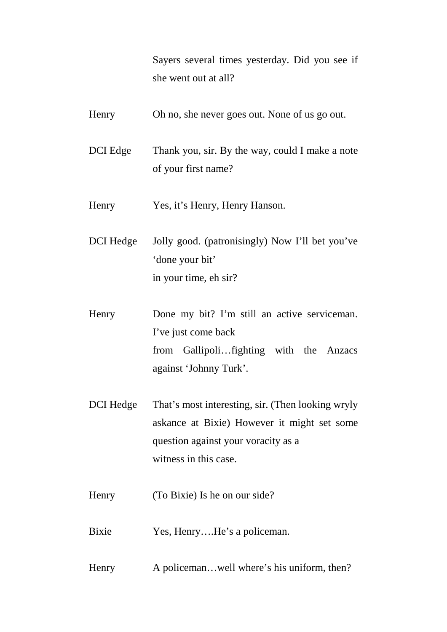Sayers several times yesterday. Did you see if she went out at all?

- Henry Oh no, she never goes out. None of us go out. DCI Edge Thank you, sir. By the way, could I make a note of your first name? Henry Yes, it's Henry, Henry Hanson. DCI Hedge Jolly good. (patronisingly) Now I'll bet you've 'done your bit' in your time, eh sir? Henry Done my bit? I'm still an active serviceman. I've just come back from Gallipoli…fighting with the Anzacs against 'Johnny Turk'. DCI Hedge That's most interesting, sir. (Then looking wryly askance at Bixie) However it might set some question against your voracity as a witness in this case. Henry (To Bixie) Is he on our side? Bixie Yes, Henry....He's a policeman.
- Henry A policeman...well where's his uniform, then?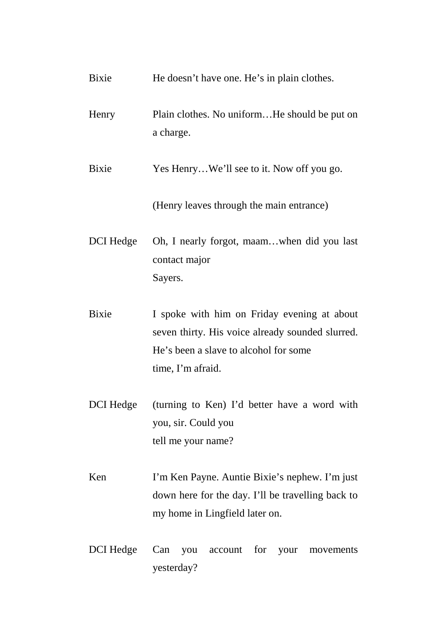| Bixie        | He doesn't have one. He's in plain clothes.                                                                                                                   |
|--------------|---------------------------------------------------------------------------------------------------------------------------------------------------------------|
| Henry        | Plain clothes. No uniformHe should be put on<br>a charge.                                                                                                     |
| <b>Bixie</b> | Yes HenryWe'll see to it. Now off you go.                                                                                                                     |
|              | (Henry leaves through the main entrance)                                                                                                                      |
| DCI Hedge    | Oh, I nearly forgot, maamwhen did you last<br>contact major<br>Sayers.                                                                                        |
| <b>Bixie</b> | I spoke with him on Friday evening at about<br>seven thirty. His voice already sounded slurred.<br>He's been a slave to alcohol for some<br>time, I'm afraid. |
| DCI Hedge    | (turning to Ken) I'd better have a word with                                                                                                                  |

you, sir. Could you tell me your name?

- Ken I'm Ken Payne. Auntie Bixie's nephew. I'm just down here for the day. I'll be travelling back to my home in Lingfield later on.
- DCI Hedge Can you account for your movements yesterday?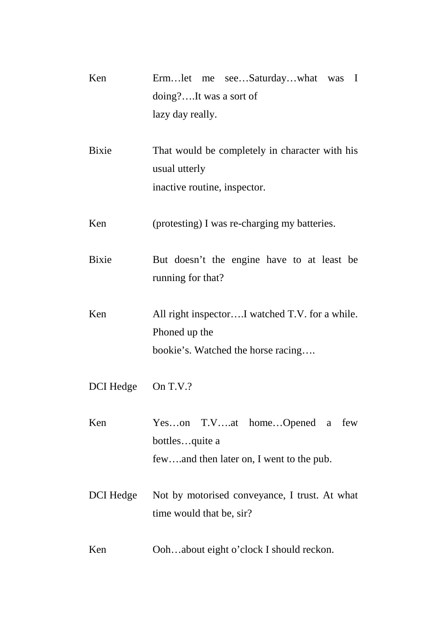| Ken          | Ermlet me seeSaturdaywhat was I<br>doing?It was a sort of<br>lazy day really.                         |
|--------------|-------------------------------------------------------------------------------------------------------|
| <b>Bixie</b> | That would be completely in character with his<br>usual utterly<br>inactive routine, inspector.       |
| Ken          | (protesting) I was re-charging my batteries.                                                          |
| Bixie        | But doesn't the engine have to at least be<br>running for that?                                       |
| Ken          | All right inspectorI watched T.V. for a while.<br>Phoned up the<br>bookie's. Watched the horse racing |
| DCI Hedge    | On T.V.?                                                                                              |
| Ken          | Yeson T.Vat homeOpened a few<br>bottlesquite a<br>fewand then later on, I went to the pub.            |
| DCI Hedge    | Not by motorised conveyance, I trust. At what<br>time would that be, sir?                             |
| Ken          | Oohabout eight o'clock I should reckon.                                                               |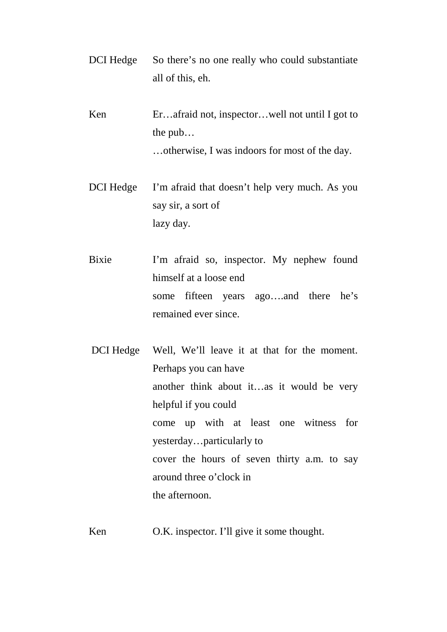- DCI Hedge So there's no one really who could substantiate all of this, eh.
- Ken Er...afraid not, inspector...well not until I got to the pub… …otherwise, I was indoors for most of the day.
- DCI Hedge I'm afraid that doesn't help very much. As you say sir, a sort of lazy day.
- Bixie I'm afraid so, inspector. My nephew found himself at a loose end some fifteen years ago….and there he's remained ever since.
- DCI Hedge Well, We'll leave it at that for the moment. Perhaps you can have another think about it…as it would be very helpful if you could come up with at least one witness for yesterday…particularly to cover the hours of seven thirty a.m. to say around three o'clock in the afternoon.
- Ken O.K. inspector. I'll give it some thought.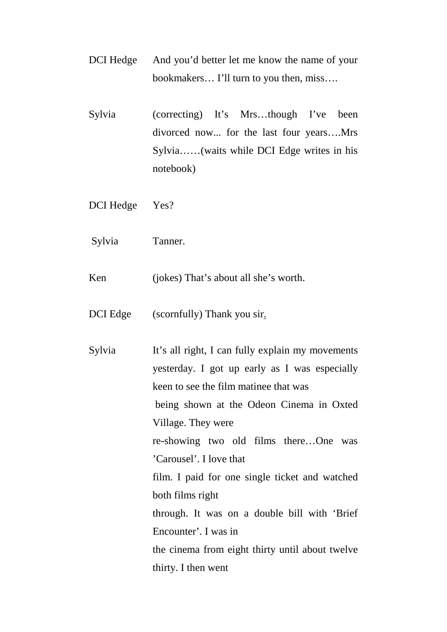- DCI Hedge And you'd better let me know the name of your bookmakers… I'll turn to you then, miss….
- Sylvia (correcting) It's Mrs…though I've been divorced now... for the last four years….Mrs Sylvia……(waits while DCI Edge writes in his notebook)
- DCI Hedge Yes?
- Sylvia Tanner.

Ken (jokes) That's about all she's worth.

- DCI Edge (scornfully) Thank you sir.
- Sylvia It's all right, I can fully explain my movements yesterday. I got up early as I was especially keen to see the film matinee that was being shown at the Odeon Cinema in Oxted Village. They were re-showing two old films there…One was 'Carousel'. I love that film. I paid for one single ticket and watched both films right through. It was on a double bill with 'Brief Encounter'. I was in the cinema from eight thirty until about twelve thirty. I then went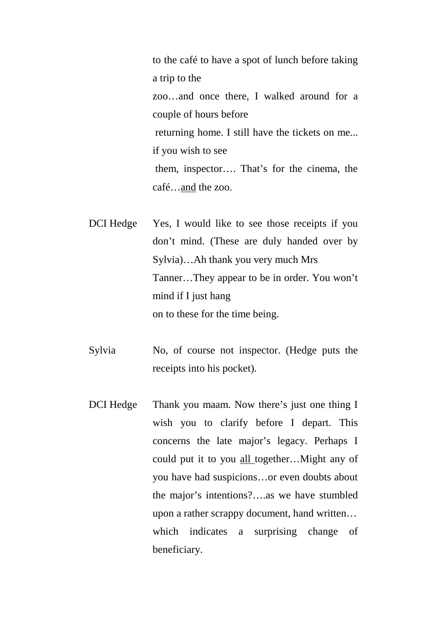to the café to have a spot of lunch before taking a trip to the zoo…and once there, I walked around for a couple of hours before returning home. I still have the tickets on me... if you wish to see them, inspector…. That's for the cinema, the café…and the zoo.

DCI Hedge Yes, I would like to see those receipts if you don't mind. (These are duly handed over by Sylvia)…Ah thank you very much Mrs Tanner…They appear to be in order. You won't mind if I just hang on to these for the time being.

- Sylvia No, of course not inspector. (Hedge puts the receipts into his pocket).
- DCI Hedge Thank you maam. Now there's just one thing I wish you to clarify before I depart. This concerns the late major's legacy. Perhaps I could put it to you all together…Might any of you have had suspicions…or even doubts about the major's intentions?….as we have stumbled upon a rather scrappy document, hand written… which indicates a surprising change of beneficiary.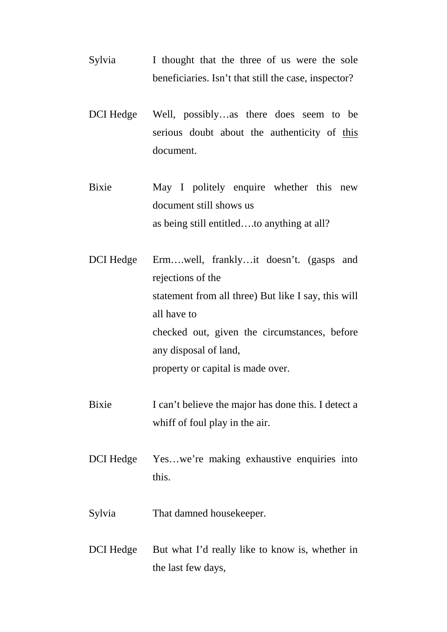- Sylvia I thought that the three of us were the sole beneficiaries. Isn't that still the case, inspector?
- DCI Hedge Well, possibly…as there does seem to be serious doubt about the authenticity of this document.
- Bixie May I politely enquire whether this new document still shows us as being still entitled….to anything at all?
- DCI Hedge Erm….well, frankly…it doesn't. (gasps and rejections of the statement from all three) But like I say, this will all have to checked out, given the circumstances, before any disposal of land, property or capital is made over.
- Bixie I can't believe the major has done this. I detect a whiff of foul play in the air.
- DCI Hedge Yes...we're making exhaustive enquiries into this.
- Sylvia That damned housekeeper.
- DCI Hedge But what I'd really like to know is, whether in the last few days,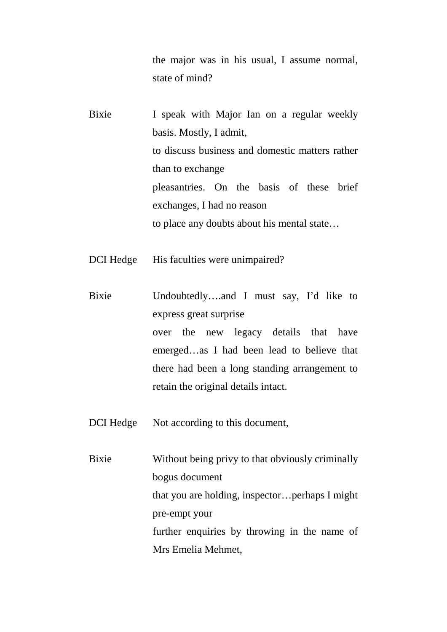the major was in his usual, I assume normal, state of mind?

Bixie I speak with Major Ian on a regular weekly basis. Mostly, I admit, to discuss business and domestic matters rather than to exchange pleasantries. On the basis of these brief exchanges, I had no reason to place any doubts about his mental state…

DCI Hedge His faculties were unimpaired?

Bixie Undoubtedly….and I must say, I'd like to express great surprise over the new legacy details that have emerged…as I had been lead to believe that there had been a long standing arrangement to retain the original details intact.

DCI Hedge Not according to this document,

Bixie Without being privy to that obviously criminally bogus document that you are holding, inspector…perhaps I might pre-empt your further enquiries by throwing in the name of Mrs Emelia Mehmet,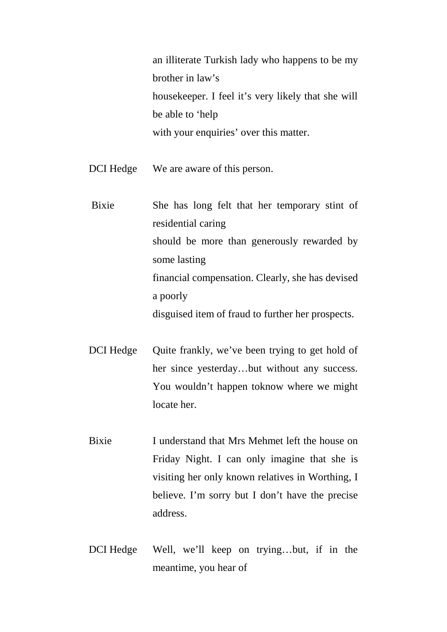an illiterate Turkish lady who happens to be my brother in law's housekeeper. I feel it's very likely that she will be able to 'help with your enquiries' over this matter.

DCI Hedge We are aware of this person.

 Bixie She has long felt that her temporary stint of residential caring should be more than generously rewarded by some lasting financial compensation. Clearly, she has devised a poorly disguised item of fraud to further her prospects.

- DCI Hedge Quite frankly, we've been trying to get hold of her since yesterday…but without any success. You wouldn't happen toknow where we might locate her.
- Bixie I understand that Mrs Mehmet left the house on Friday Night. I can only imagine that she is visiting her only known relatives in Worthing, I believe. I'm sorry but I don't have the precise address.
- DCI Hedge Well, we'll keep on trying…but, if in the meantime, you hear of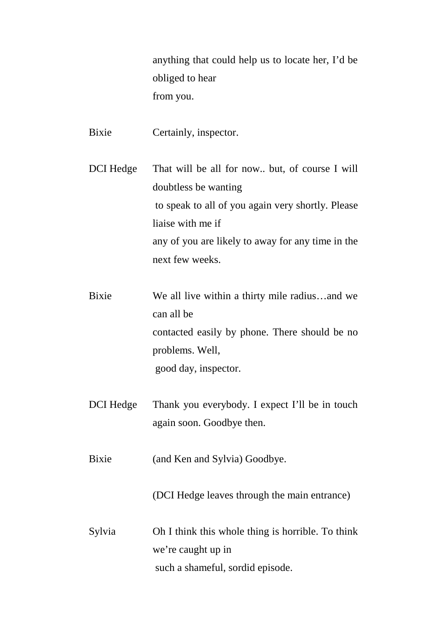anything that could help us to locate her, I'd be obliged to hear from you.

Bixie Certainly, inspector.

DCI Hedge That will be all for now.. but, of course I will doubtless be wanting to speak to all of you again very shortly. Please liaise with me if any of you are likely to away for any time in the next few weeks.

Bixie We all live within a thirty mile radius…and we can all be contacted easily by phone. There should be no problems. Well, good day, inspector.

DCI Hedge Thank you everybody. I expect I'll be in touch again soon. Goodbye then.

Bixie (and Ken and Sylvia) Goodbye.

(DCI Hedge leaves through the main entrance)

Sylvia Oh I think this whole thing is horrible. To think we're caught up in such a shameful, sordid episode.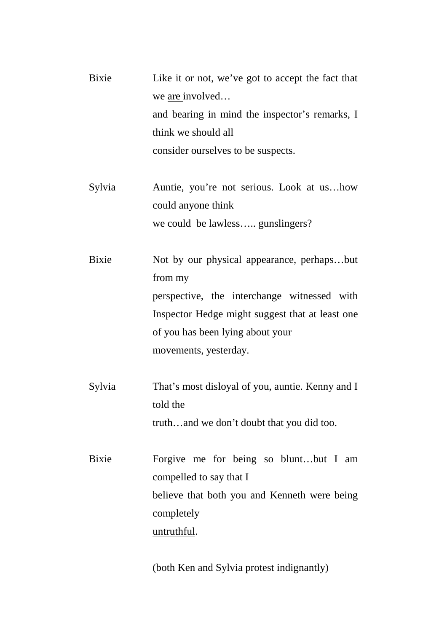| Bixie        | Like it or not, we've got to accept the fact that<br>we <u>are</u> involved<br>and bearing in mind the inspector's remarks, I |
|--------------|-------------------------------------------------------------------------------------------------------------------------------|
|              | think we should all                                                                                                           |
|              | consider ourselves to be suspects.                                                                                            |
|              |                                                                                                                               |
| Sylvia       | Auntie, you're not serious. Look at ushow                                                                                     |
|              | could anyone think                                                                                                            |
|              | we could be lawless gunslingers?                                                                                              |
|              |                                                                                                                               |
| <b>Bixie</b> | Not by our physical appearance, perhapsbut                                                                                    |
|              | from my                                                                                                                       |
|              | perspective, the interchange witnessed with                                                                                   |
|              | Inspector Hedge might suggest that at least one                                                                               |
|              | of you has been lying about your                                                                                              |
|              | movements, yesterday.                                                                                                         |
| Sylvia       | That's most disloyal of you, auntie. Kenny and I                                                                              |
|              | told the                                                                                                                      |
|              | truthand we don't doubt that you did too.                                                                                     |
|              |                                                                                                                               |
| <b>Bixie</b> | Forgive me for being so bluntbut I am                                                                                         |
|              | compelled to say that I                                                                                                       |
|              | believe that both you and Kenneth were being                                                                                  |
|              | completely                                                                                                                    |
|              | <u>untruthful</u> .                                                                                                           |
|              |                                                                                                                               |

(both Ken and Sylvia protest indignantly)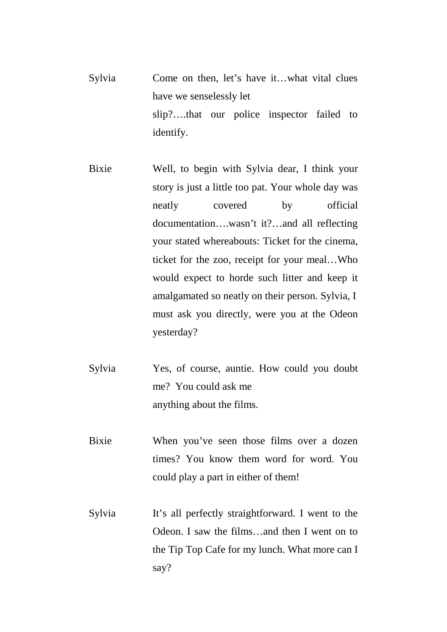- Sylvia Come on then, let's have it…what vital clues have we senselessly let slip?….that our police inspector failed to identify.
- Bixie Well, to begin with Sylvia dear, I think your story is just a little too pat. Your whole day was neatly covered by official documentation….wasn't it?…and all reflecting your stated whereabouts: Ticket for the cinema, ticket for the zoo, receipt for your meal…Who would expect to horde such litter and keep it amalgamated so neatly on their person. Sylvia, I must ask you directly, were you at the Odeon yesterday?
- Sylvia Yes, of course, auntie. How could you doubt me? You could ask me anything about the films.
- Bixie When you've seen those films over a dozen times? You know them word for word. You could play a part in either of them!
- Sylvia It's all perfectly straightforward. I went to the Odeon. I saw the films…and then I went on to the Tip Top Cafe for my lunch. What more can I say?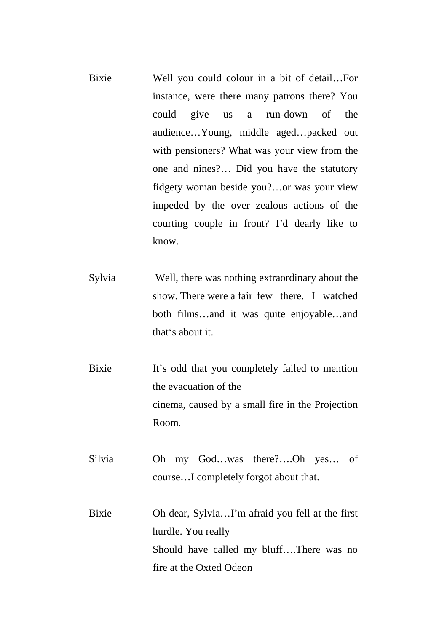- Bixie Well you could colour in a bit of detail…For instance, were there many patrons there? You could give us a run-down of the audience…Young, middle aged…packed out with pensioners? What was your view from the one and nines?… Did you have the statutory fidgety woman beside you?…or was your view impeded by the over zealous actions of the courting couple in front? I'd dearly like to know.
- Sylvia Well, there was nothing extraordinary about the show. There were a fair few there. I watched both films…and it was quite enjoyable…and that's about it.
- Bixie It's odd that you completely failed to mention the evacuation of the cinema, caused by a small fire in the Projection Room.
- Silvia Oh my God…was there?….Oh yes… of course…I completely forgot about that.
- Bixie Oh dear, Sylvia…I'm afraid you fell at the first hurdle. You really Should have called my bluff….There was no fire at the Oxted Odeon